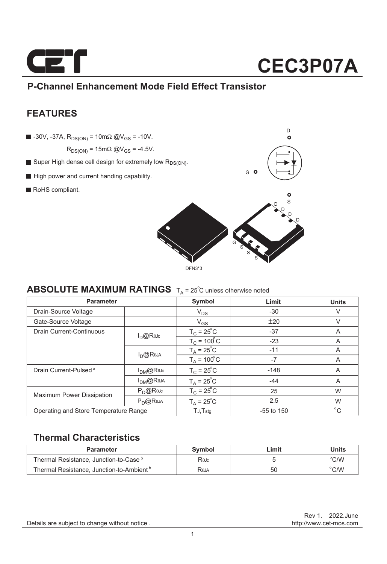

### **P-Channel Enhancement Mode Field Effect Transistor**

### **FEATURES**

 $\blacksquare$  -30V, -37A,  $R_{DS(ON)} = 10 \text{ m}\Omega \text{ @V}_{GS} = -10V$ .

 $R_{DS(ON)} = 15 \text{m}\Omega \text{ @V_{GS} = -4.5V.}$ 

- Super High dense cell design for extremely low R<sub>DS(ON)</sub>.
- High power and current handing capability.
- RoHS compliant.



### **ABSOLUTE MAXIMUM RATINGS**  $T_A = 25^\circ$ C unless otherwise noted

| <b>Parameter</b>                      |                  | Symbol                    | Limit        | <b>Units</b> |
|---------------------------------------|------------------|---------------------------|--------------|--------------|
| Drain-Source Voltage                  |                  | $V_{DS}$                  | $-30$        | V            |
| Gate-Source Voltage                   |                  | $V_{GS}$                  | ±20          | $\vee$       |
| Drain Current-Continuous              | $I_{D}$ @ReJc    | $T_c = 25^{\circ}C$       | $-37$        | A            |
|                                       |                  | $TC = 100oC$              | $-23$        | A            |
|                                       | $I_{D}$ @Reja    | $T_A = 25^{\circ}C$       | $-11$        | A            |
|                                       |                  | $T_A = 100^{\circ}$ C     | $-7$         | A            |
| Drain Current-Pulsed <sup>a</sup>     | $I_{DM}$ @Rejc   | $T_c = 25^{\circ}C$       | $-148$       | A            |
|                                       | $I_{DM}$ @Reja   | $T_A = 25^{\circ}C$       | $-44$        | A            |
| <b>Maximum Power Dissipation</b>      | $P_{\cap}$ @ReJc | $T_c = 25^{\circ}C$       | 25           | W            |
|                                       | $P_D$ @Reja      | $T_A = 25^\circ \text{C}$ | 2.5          | W            |
| Operating and Store Temperature Range |                  | $TJ$ , $Tstq$             | $-55$ to 150 | $^{\circ}$ C |

### **Thermal Characteristics**

| <b>Parameter</b>                                     | Svmbol       | Limit | Units              |
|------------------------------------------------------|--------------|-------|--------------------|
| Thermal Resistance, Junction-to-Case <sup>b</sup>    | Rejc         |       | $\rm ^{\circ}$ C/W |
| Thermal Resistance, Junction-to-Ambient <sup>b</sup> | <b>R</b> eja | 50    | $\degree$ C/W      |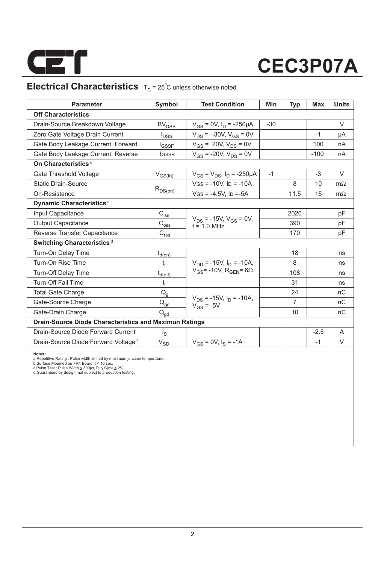

### **Electrical Characteristics**  $T_c = 25^\circ C$  unless otherwise noted

| <b>Parameter</b>                                       | Symbol                                                                | <b>Test Condition</b>                            | Min   | <b>Typ</b>     | Max    | <b>Units</b> |  |  |  |  |
|--------------------------------------------------------|-----------------------------------------------------------------------|--------------------------------------------------|-------|----------------|--------|--------------|--|--|--|--|
| <b>Off Characteristics</b>                             |                                                                       |                                                  |       |                |        |              |  |  |  |  |
| Drain-Source Breakdown Voltage                         | <b>BV<sub>DSS</sub></b>                                               | $V_{GS}$ = 0V, $I_D$ = -250µA                    | $-30$ |                |        | $\vee$       |  |  |  |  |
| Zero Gate Voltage Drain Current                        | $I_{DSS}$                                                             | $V_{DS}$ = -30V, $V_{GS}$ = 0V                   |       |                | $-1$   | μA           |  |  |  |  |
| Gate Body Leakage Current, Forward                     | <b>I</b> GSSF                                                         | $V_{GS}$ = 20V, $V_{DS}$ = 0V                    |       |                | 100    | nA           |  |  |  |  |
| Gate Body Leakage Current, Reverse                     | <b>IGSSR</b>                                                          | $V_{GS}$ = -20V, $V_{DS}$ = 0V                   |       |                | $-100$ | nA           |  |  |  |  |
| On Characteristics <sup>c</sup>                        |                                                                       |                                                  |       |                |        |              |  |  |  |  |
| Gate Threshold Voltage                                 | $V_{GS(th)}$                                                          | $V_{GS} = V_{DS}$ , $I_D = -250 \mu A$           | $-1$  |                | $-3$   | V            |  |  |  |  |
| <b>Static Drain-Source</b>                             |                                                                       | $V$ GS = -10V, ID = -10A                         |       | 8              | 10     | $m\Omega$    |  |  |  |  |
| On-Resistance                                          | $R_{DS(on)}$                                                          | $V$ GS = -4.5V, ID =-5A                          |       | 11.5           | 15     | $m\Omega$    |  |  |  |  |
| Dynamic Characteristics <sup>d</sup>                   |                                                                       |                                                  |       |                |        |              |  |  |  |  |
| Input Capacitance                                      | $C_{\text{iss}}$                                                      |                                                  |       | 2020           |        | pF           |  |  |  |  |
| <b>Output Capacitance</b>                              | $\text{C}_{\text{oss}}$                                               | $V_{DS}$ = -15V, $V_{GS}$ = 0V,<br>$f = 1.0$ MHz |       | 390            |        | pF           |  |  |  |  |
| Reverse Transfer Capacitance                           | $\mathsf{C}_{\mathsf{r}\underline{\mathsf{s}}\underline{\mathsf{s}}}$ |                                                  |       | 170            |        | pF           |  |  |  |  |
| Switching Characteristics <sup>d</sup>                 |                                                                       |                                                  |       |                |        |              |  |  |  |  |
| Turn-On Delay Time                                     | $t_{d(on)}$                                                           |                                                  |       | 18             |        | ns           |  |  |  |  |
| Turn-On Rise Time                                      | t,                                                                    | $V_{DD}$ = -15V, $I_D$ = -10A,                   |       | 8              |        | ns           |  |  |  |  |
| <b>Turn-Off Delay Time</b>                             | $t_{d(off)}$                                                          | $V_{GS}$ = -10V, R <sub>GEN</sub> = 6 $\Omega$   |       | 108            |        | ns           |  |  |  |  |
| <b>Turn-Off Fall Time</b>                              | $t_f$                                                                 |                                                  |       | 31             |        | ns           |  |  |  |  |
| <b>Total Gate Charge</b>                               | $Q_q$                                                                 |                                                  |       | 24             |        | nC           |  |  |  |  |
| Gate-Source Charge                                     | $\mathsf{Q}_{\text{g}\underline{s}}$                                  | $V_{DS}$ = -15V, $I_D$ = -10A,<br>$V_{GS}$ = -5V |       | $\overline{7}$ |        | nC           |  |  |  |  |
| Gate-Drain Charge                                      | $\mathsf{Q}_{\mathsf{qd}}$                                            |                                                  |       | 10             |        | nC           |  |  |  |  |
| Drain-Source Diode Characteristics and Maximun Ratings |                                                                       |                                                  |       |                |        |              |  |  |  |  |
| Drain-Source Diode Forward Current                     | $\lg$                                                                 |                                                  |       |                | $-2.5$ | A            |  |  |  |  |
| Drain-Source Diode Forward Voltage <sup>c</sup>        | $V_{SD}$                                                              | $V_{gs} = 0V$ , $I_s = -1A$                      |       |                | $-1$   | V            |  |  |  |  |

**Notes :**<br>a.Repetitive Rating : Pulse width limited by maximum junction temperature<br>b.Surface Mounted on FR4 Board, t ≤ 10 sec.<br>c.Pulse Test : Pulse Width ≤ 300µs, Duly Cyde ≤ 2%.<br>d.Guaranteed by design, not subject to pr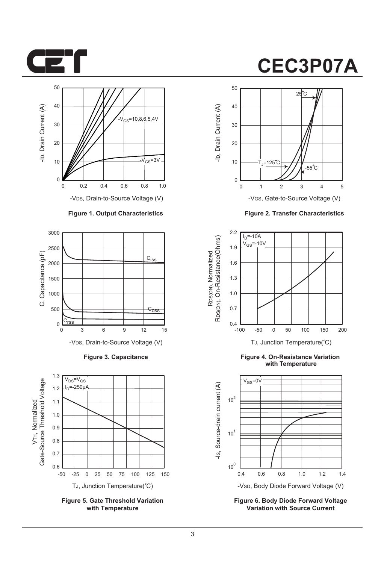



-VDS, Drain-to-Source Voltage (V)

#### **Figure 1. Output Characteristics**



**Figure 3. Capacitance**



**Figure 5. Gate Threshold Variation with Temperature**

# **CEC3P07A**



-VGS, Gate-to-Source Voltage (V)

**Figure 2. Transfer Characteristics**



**Figure 4. On-Resistance Variation with Temperature**



**Figure 6. Body Diode Forward Voltage Variation with Source Current**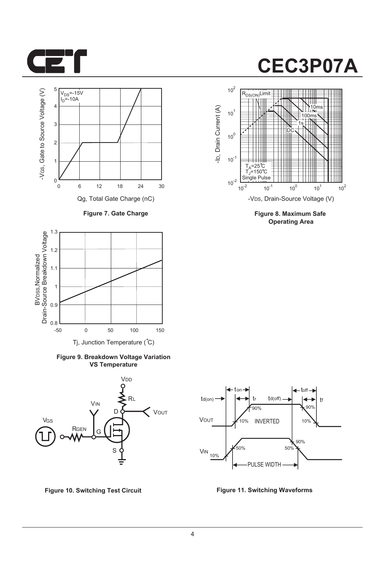



**Figure 7. Gate Charge**



**Figure 9. Breakdown Voltage Variation VS Temperature**



**Figure 10. Switching Test Circuit Figure 11. Switching Waveforms**



**Figure 8. Maximum Safe Operating Area**